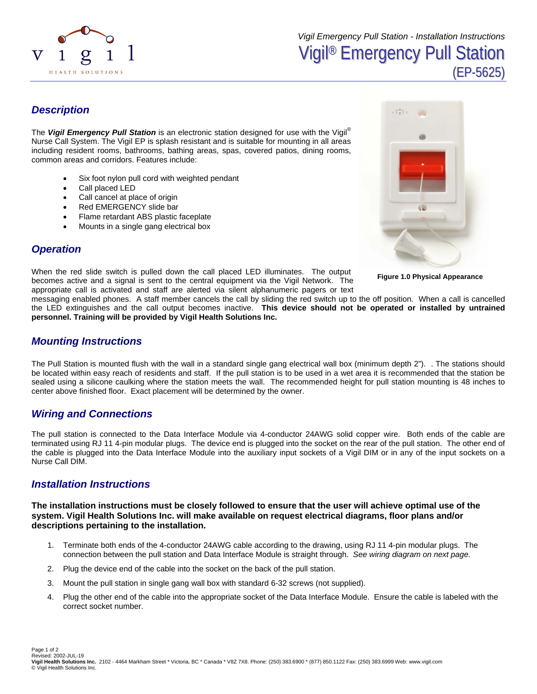

## *Description*

The *Vigil Emergency Pull Station* is an electronic station designed for use with the Vigil® Nurse Call System. The Vigil EP is splash resistant and is suitable for mounting in all areas including resident rooms, bathrooms, bathing areas, spas, covered patios, dining rooms, common areas and corridors. Features include:

- Six foot nylon pull cord with weighted pendant
- Call placed LED
- Call cancel at place of origin
- Red EMERGENCY slide bar
- Flame retardant ABS plastic faceplate
- Mounts in a single gang electrical box



**Figure 1.0 Physical Appearance** 

# *Operation*

When the red slide switch is pulled down the call placed LED illuminates. The output becomes active and a signal is sent to the central equipment via the Vigil Network. The appropriate call is activated and staff are alerted via silent alphanumeric pagers or text

messaging enabled phones. A staff member cancels the call by sliding the red switch up to the off position. When a call is cancelled the LED extinguishes and the call output becomes inactive. **This device should not be operated or installed by untrained personnel. Training will be provided by Vigil Health Solutions Inc.** 

### *Mounting Instructions*

The Pull Station is mounted flush with the wall in a standard single gang electrical wall box (minimum depth 2"). . The stations should be located within easy reach of residents and staff. If the pull station is to be used in a wet area it is recommended that the station be sealed using a silicone caulking where the station meets the wall. The recommended height for pull station mounting is 48 inches to center above finished floor. Exact placement will be determined by the owner.

## *Wiring and Connections*

The pull station is connected to the Data Interface Module via 4-conductor 24AWG solid copper wire. Both ends of the cable are terminated using RJ 11 4-pin modular plugs. The device end is plugged into the socket on the rear of the pull station. The other end of the cable is plugged into the Data Interface Module into the auxiliary input sockets of a Vigil DIM or in any of the input sockets on a Nurse Call DIM.

#### *Installation Instructions*

**The installation instructions must be closely followed to ensure that the user will achieve optimal use of the system. Vigil Health Solutions Inc. will make available on request electrical diagrams, floor plans and/or descriptions pertaining to the installation.** 

- 1. Terminate both ends of the 4-conductor 24AWG cable according to the drawing, using RJ 11 4-pin modular plugs. The connection between the pull station and Data Interface Module is straight through. *See wiring diagram on next page.*
- 2. Plug the device end of the cable into the socket on the back of the pull station.
- 3. Mount the pull station in single gang wall box with standard 6-32 screws (not supplied).
- 4. Plug the other end of the cable into the appropriate socket of the Data Interface Module. Ensure the cable is labeled with the correct socket number.